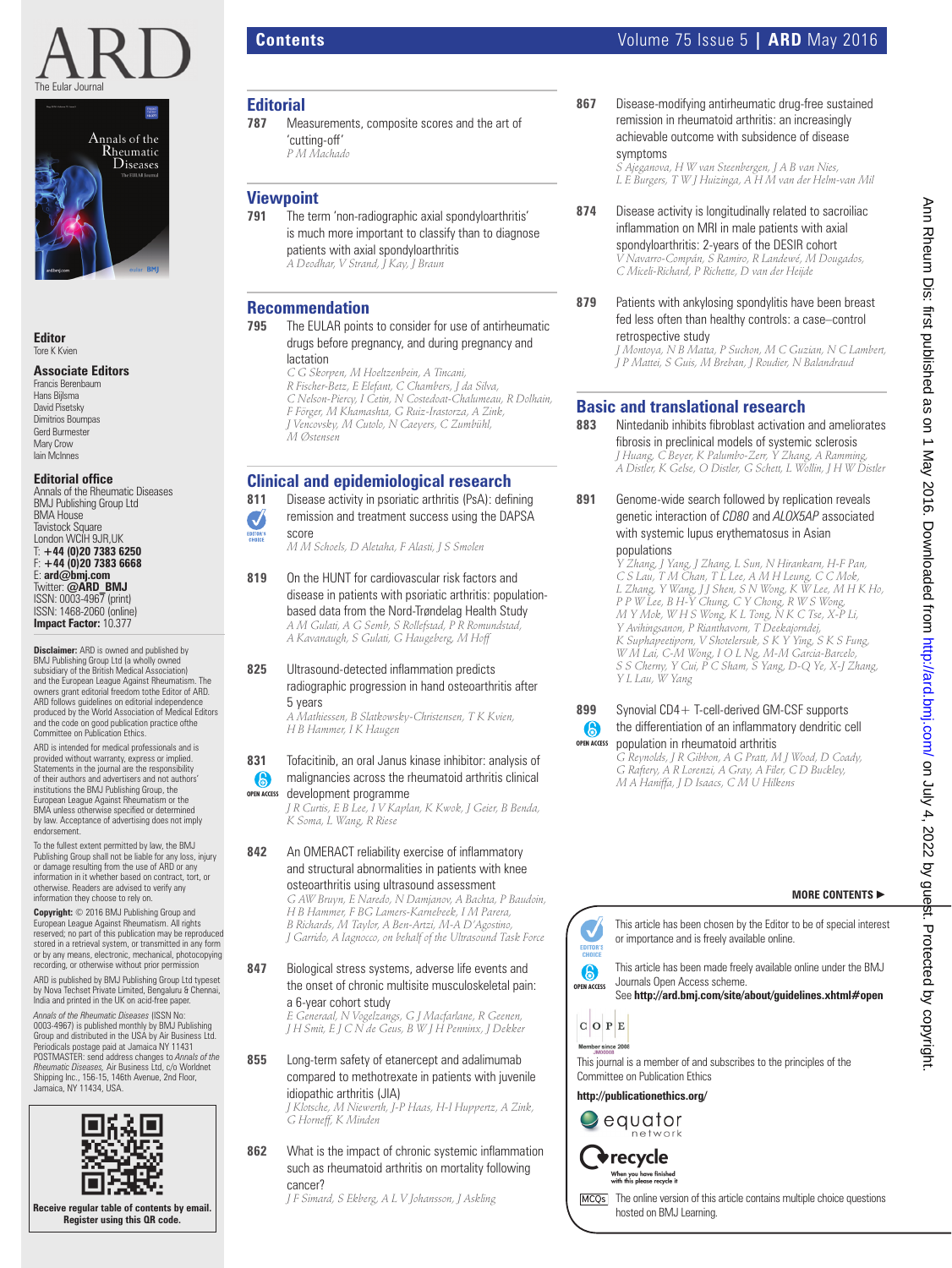



**Editor** Tore K Kvien

#### **Associate Editors**

Francis Berenbaum Hans Bijlsma David Pisetsky Dimitrios Boumpas Gerd Burmester Mary Crow Iain McInnes

### **Editorial office**<br>Annals of the Rheumatic Diseases

BMJ Publishing Group Ltd BMA House Tavistock Square London WCIH 9JR,UK T: **+44 (0)20 7383 6250** F: **+44 (0)20 7383 6668** E: **ard@bmj.com** Twitter: **@ARD\_BMJ** ISSN: 0003-4967 (print) ISSN: 1468-2060 (online) **Impact Factor:** 10.377

**Disclaimer:** ARD is owned and published by BMJ Publishing Group Ltd (a wholly owned subsidiary of the British Medical Association) and the European League Against Rheumatism. The owners grant editorial freedom tothe Editor of ARD. ARD follows guidelines on editorial independence produced by the World Association of Medical Editors and the code on good publication practice ofthe Committee on Publication Ethics.

ARD is intended for medical professionals and is provided without warranty, express or implied. Statements in the journal are the responsibility of their authors and advertisers and not authors' institutions the BMJ Publishing Group, the European League Against Rheumatism or the BMA unless otherwise specified or determined<br>by law. Acceptance of advertising does not imply endorsement.

To the fullest extent permitted by law, the BMJ Publishing Group shall not be liable for any loss, injury or damage resulting from the use of ARD or any information in it whether based on contract, tort, or otherwise. Readers are advised to verify any information they choose to rely on.

**Copyright:** © 2016 BMJ Publishing Group and European League Against Rheumatism. All rights reserved; no part of this publication may be reproduced stored in a retrieval system, or transmitted in any form or by any means, electronic, mechanical, photocopying recording, or otherwise without prior permission

ARD is published by BMJ Publishing Group Ltd typeset by Nova Techset Private Limited, Bengaluru & Chennai, India and printed in the UK on acid-free paper.

*Annals of the Rheumatic Diseases* (ISSN No: 0003-4967) is published monthly by BMJ Publishing Group and distributed in the USA by Air Business Ltd. Periodicals postage paid at Jamaica NY 11431<br>POSTMASTER: send address changes to *Annals of the<br>Rheumatic Diseases, Air* Business Ltd, c/o Worldnet<br>Shipping Inc., 156-15, 146th Avenue, 2nd Floor, Jamaica, NY 11434, USA.



### **Contents Contents Contents Contents Contents Contents Volume 75 Issue 5 | ARD** May 2016

 **Editorial**  Measurements, composite scores and the art of 'cutting-off'  *P M Machado* 

# **Viewpoint**<br>**791** The ter

The term 'non-radiographic axial spondyloarthritis' is much more important to classify than to diagnose patients with axial spondyloarthritis  *A Deodhar, V Strand, J Kay, J Braun* 

#### **Recommendation**

 **795** The EULAR points to consider for use of antirheumatic drugs before pregnancy, and during pregnancy and lactation

> *C G Skorpen, M Hoeltzenbein, A Tincani, R Fischer-Betz, E Elefant, C Chambers, J da Silva, C Nelson-Piercy, I Cetin, N Costedoat-Chalumeau, R Dolhain, F Förger, M Khamashta, G Ruiz-Irastorza, A Zink, J Vencovsky, M Cutolo, N Caeyers, C Zumbühl, M Østensen*

### **Clinical and epidemiological research**

- **811** Disease activity in psoriatic arthritis (PsA): defining
- remission and treatment success using the DAPSA J
- score EDITOR'S
	- *M M Schoels, D Aletaha, F Alasti, J S Smolen*
- **819** On the HUNT for cardiovascular risk factors and disease in patients with psoriatic arthritis: populationbased data from the Nord-Trøndelag Health Study  *A M Gulati, A G Semb, S Rollefstad, P R Romundstad,*

*A Kavanaugh, S Gulati, G Haugeberg, M Hoff* 

#### **825** Ultrasound-detected inflammation predicts radiographic progression in hand osteoarthritis after 5 years

 *A Mathiessen, B Slatkowsky-Christensen, T K Kvien, H B Hammer, I K Haugen* 

#### **831** Tofacitinib, an oral Janus kinase inhibitor: analysis of  $\odot$ malignancies across the rheumatoid arthritis clinical

development programme **OPEN ACCESS**

 *J R Curtis, E B Lee, I V Kaplan, K Kwok, J Geier, B Benda, K Soma, L Wang, R Riese* 

#### 842 An OMERACT reliability exercise of inflammatory and structural abnormalities in patients with knee osteoarthritis using ultrasound assessment

 *G AW Bruyn, E Naredo, N Damjanov, A Bachta, P Baudoin, H B Hammer, F BG Lamers-Karnebeek, I M Parera, B Richards, M Taylor, A Ben-Artzi, M-A D'Agostino, J Garrido, A Iagnocco, on behalf of the Ultrasound Task Force* 

 **847** Biological stress systems, adverse life events and the onset of chronic multisite musculoskeletal pain: a 6-year cohort study

 *E Generaal, N Vogelzangs, G J Macfarlane, R Geenen, J H Smit, E J C N de Geus, B W J H Penninx, J Dekker* 

 **855** Long-term safety of etanercept and adalimumab compared to methotrexate in patients with juvenile idiopathic arthritis (JIA)  *J Klotsche, M Niewerth, J-P Haas, H-I Huppertz, A Zink,* 

*G Horneff, K Minden* 

**862** What is the impact of chronic systemic inflammation such as rheumatoid arthritis on mortality following cancer?

 *J F Simard, S Ekberg, A L V Johansson, J Askling* 

 **867** Disease-modifying antirheumatic drug-free sustained remission in rheumatoid arthritis: an increasingly achievable outcome with subsidence of disease symptoms

 *S Ajeganova, H W van Steenbergen, J A B van Nies, L E Burgers, T W J Huizinga, A H M van der Helm-van Mil* 

- **874** Disease activity is longitudinally related to sacroiliac inflammation on MRI in male patients with axial spondyloarthritis: 2-years of the DESIR cohort  *V Navarro-Compán, S Ramiro, R Landewé, M Dougados, C Miceli-Richard, P Richette, D van der Heijde*
- **879** Patients with ankylosing spondylitis have been breast fed less often than healthy controls: a case–control retrospective study

 *J Montoya, N B Matta, P Suchon, M C Guzian, N C Lambert, J P Mattei, S Guis, M Breban, J Roudier, N Balandraud* 

# **Basic and translational research <br>883** Mintedanib inhibits fibroblast activation

**Nintedanib inhibits fibroblast activation and ameliorates** fibrosis in preclinical models of systemic sclerosis  *J Huang, C Beyer, K Palumbo-Zerr, Y Zhang, A Ramming, A Distler, K Gelse, O Distler, G Schett, L Wollin, J H W Distler* 

 **891** Genome-wide search followed by replication reveals genetic interaction of *CD80* and *ALOX5AP* associated with systemic lupus erythematosus in Asian populations

 *Y Zhang, J Yang, J Zhang, L Sun, N Hirankarn, H-F Pan, C S Lau, T M Chan, T L Lee, A M H Leung, C C Mok, L Zhang, Y Wang, J J Shen, S N Wong, K W Lee, M H K Ho, P P W Lee, B H-Y Chung, C Y Chong, R W S Wong, M Y Mok, W H S Wong, K L Tong, N K C Tse, X-P Li, Y Avihingsanon, P Rianthavorn, T Deekajorndej, K Suphapeetiporn, V Shotelersuk, S K Y Ying, S K S Fung, W M Lai, C-M Wong, I O L Ng, M-M Garcia-Barcelo, S S Cherny, Y Cui, P C Sham, S Yang, D-Q Ye, X-J Zhang, Y L Lau, W Yang* 

#### **899** Synovial CD4+ T-cell-derived GM-CSF supports the differentiation of an inflammatory dendritic cell  $\bigcirc$ population in rheumatoid arthritis **OPEN ACCESS**

 *G Reynolds, J R Gibbon, A G Pratt, M J Wood, D Coady, G Raftery, A R Lorenzi, A Gray, A Filer, C D Buckley, M A Haniffa, J D Isaacs, C M U Hilkens* 

#### **MORE CONTENTS** -



or importance and is freely available online.

This article has been made freely available online under the BMJ Journals Open Access scheme.

See **http://ard.bmj.com/site/about/guidelines.xhtml#open** 



This journal is a member of and subscribes to the principles of the Committee on Publication Ethics

**http://publicationethics.org/**





When you have finished<br>with this please recycle it